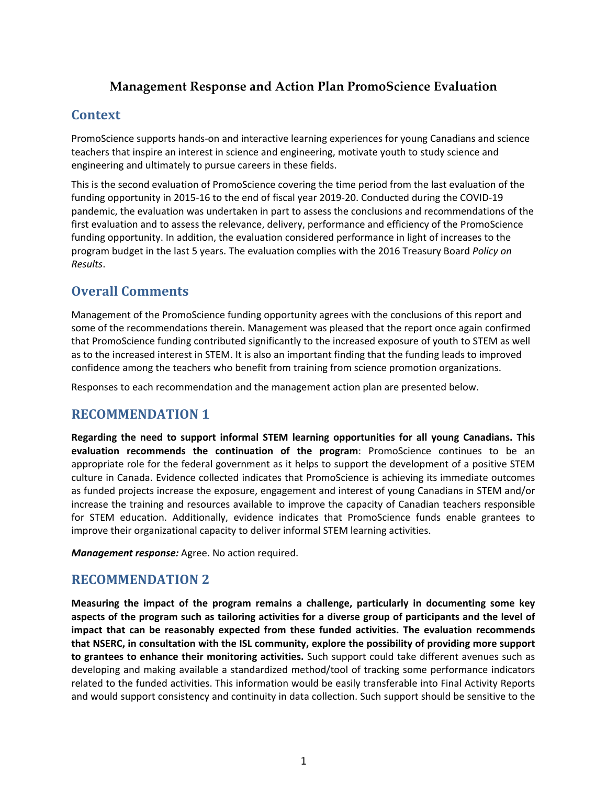## **Management Response and Action Plan PromoScience Evaluation**

## **Context**

PromoScience supports hands‐on and interactive learning experiences for young Canadians and science teachers that inspire an interest in science and engineering, motivate youth to study science and engineering and ultimately to pursue careers in these fields.

This is the second evaluation of PromoScience covering the time period from the last evaluation of the funding opportunity in 2015-16 to the end of fiscal year 2019-20. Conducted during the COVID-19 pandemic, the evaluation was undertaken in part to assess the conclusions and recommendations of the first evaluation and to assess the relevance, delivery, performance and efficiency of the PromoScience funding opportunity. In addition, the evaluation considered performance in light of increases to the program budget in the last 5 years. The evaluation complies with the 2016 Treasury Board *Policy on Results*.

# **Overall Comments**

Management of the PromoScience funding opportunity agrees with the conclusions of this report and some of the recommendations therein. Management was pleased that the report once again confirmed that PromoScience funding contributed significantly to the increased exposure of youth to STEM as well as to the increased interest in STEM. It is also an important finding that the funding leads to improved confidence among the teachers who benefit from training from science promotion organizations.

Responses to each recommendation and the management action plan are presented below.

# **RECOMMENDATION 1**

**Regarding the need to support informal STEM learning opportunities for all young Canadians. This evaluation recommends the continuation of the program**: PromoScience continues to be an appropriate role for the federal government as it helps to support the development of a positive STEM culture in Canada. Evidence collected indicates that PromoScience is achieving its immediate outcomes as funded projects increase the exposure, engagement and interest of young Canadians in STEM and/or increase the training and resources available to improve the capacity of Canadian teachers responsible for STEM education. Additionally, evidence indicates that PromoScience funds enable grantees to improve their organizational capacity to deliver informal STEM learning activities.

*Management response:* Agree. No action required.

### **RECOMMENDATION 2**

**Measuring the impact of the program remains a challenge, particularly in documenting some key aspects of the program such as tailoring activities for a diverse group of participants and the level of impact that can be reasonably expected from these funded activities. The evaluation recommends that NSERC, in consultation with the ISL community, explore the possibility of providing more support to grantees to enhance their monitoring activities.** Such support could take different avenues such as developing and making available a standardized method/tool of tracking some performance indicators related to the funded activities. This information would be easily transferable into Final Activity Reports and would support consistency and continuity in data collection. Such support should be sensitive to the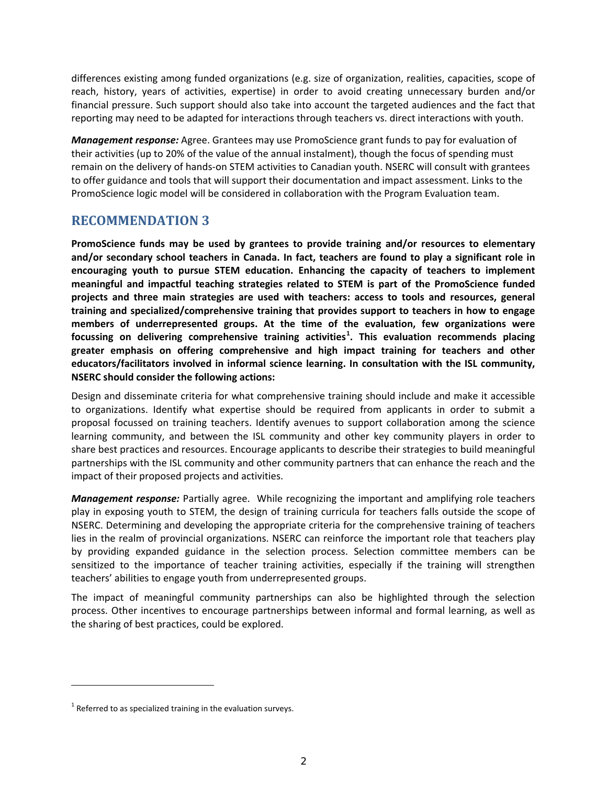differences existing among funded organizations (e.g. size of organization, realities, capacities, scope of reach, history, years of activities, expertise) in order to avoid creating unnecessary burden and/or financial pressure. Such support should also take into account the targeted audiences and the fact that reporting may need to be adapted for interactions through teachers vs. direct interactions with youth.

*Management response:* Agree. Grantees may use PromoScience grant funds to pay for evaluation of their activities (up to 20% of the value of the annual instalment), though the focus of spending must remain on the delivery of hands-on STEM activities to Canadian youth. NSERC will consult with grantees to offer guidance and tools that will support their documentation and impact assessment. Links to the PromoScience logic model will be considered in collaboration with the Program Evaluation team.

### **RECOMMENDATION 3**

**PromoScience funds may be used by grantees to provide training and/or resources to elementary and/or secondary school teachers in Canada. In fact, teachers are found to play a significant role in encouraging youth to pursue STEM education. Enhancing the capacity of teachers to implement meaningful and impactful teaching strategies related to STEM is part of the PromoScience funded projects and three main strategies are used with teachers: access to tools and resources, general training and specialized/comprehensive training that provides support to teachers in how to engage members of underrepresented groups. At the time of the evaluation, few organizations were focussing on delivering comprehensive training activities[1](#page-1-0) . This evaluation recommends placing greater emphasis on offering comprehensive and high impact training for teachers and other educators/facilitators involved in informal science learning. In consultation with the ISL community, NSERC should consider the following actions:**

Design and disseminate criteria for what comprehensive training should include and make it accessible to organizations. Identify what expertise should be required from applicants in order to submit a proposal focussed on training teachers. Identify avenues to support collaboration among the science learning community, and between the ISL community and other key community players in order to share best practices and resources. Encourage applicants to describe their strategies to build meaningful partnerships with the ISL community and other community partners that can enhance the reach and the impact of their proposed projects and activities.

*Management response:* Partially agree. While recognizing the important and amplifying role teachers play in exposing youth to STEM, the design of training curricula for teachers falls outside the scope of NSERC. Determining and developing the appropriate criteria for the comprehensive training of teachers lies in the realm of provincial organizations. NSERC can reinforce the important role that teachers play by providing expanded guidance in the selection process. Selection committee members can be sensitized to the importance of teacher training activities, especially if the training will strengthen teachers' abilities to engage youth from underrepresented groups.

The impact of meaningful community partnerships can also be highlighted through the selection process. Other incentives to encourage partnerships between informal and formal learning, as well as the sharing of best practices, could be explored.

l

<span id="page-1-0"></span> $1$  Referred to as specialized training in the evaluation surveys.